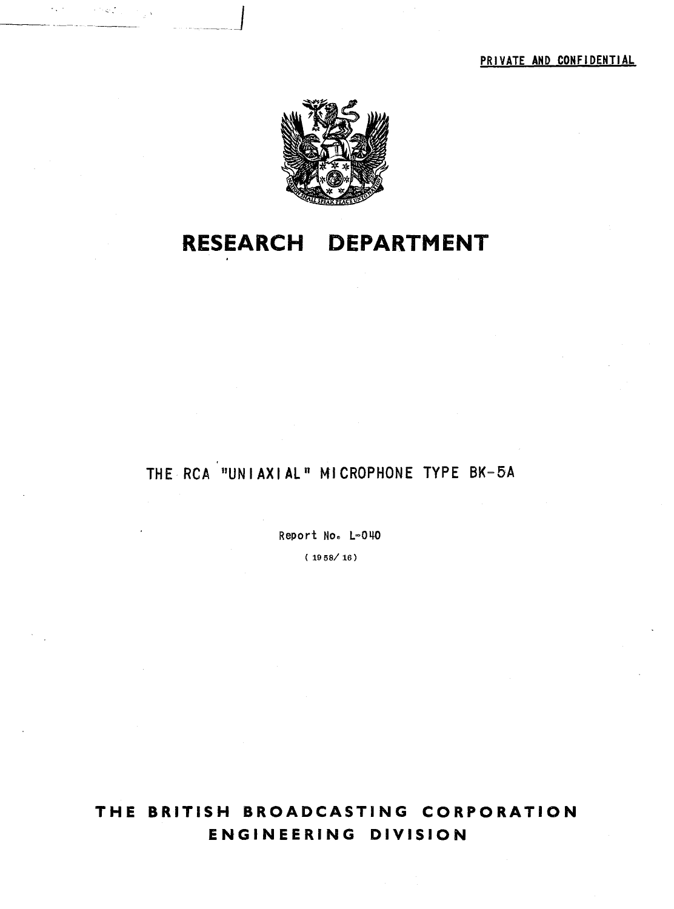

· .. \_\_ J

## **RESEARCH DEPARTMENT**

## THE ReA "UNJAXIAL" MICROPHONE TYPE BK-5A

Report No. L=040

( 1958/16)

**THE BRITISH BROADCASTING CORPORATION ENGINEERING DIVISION**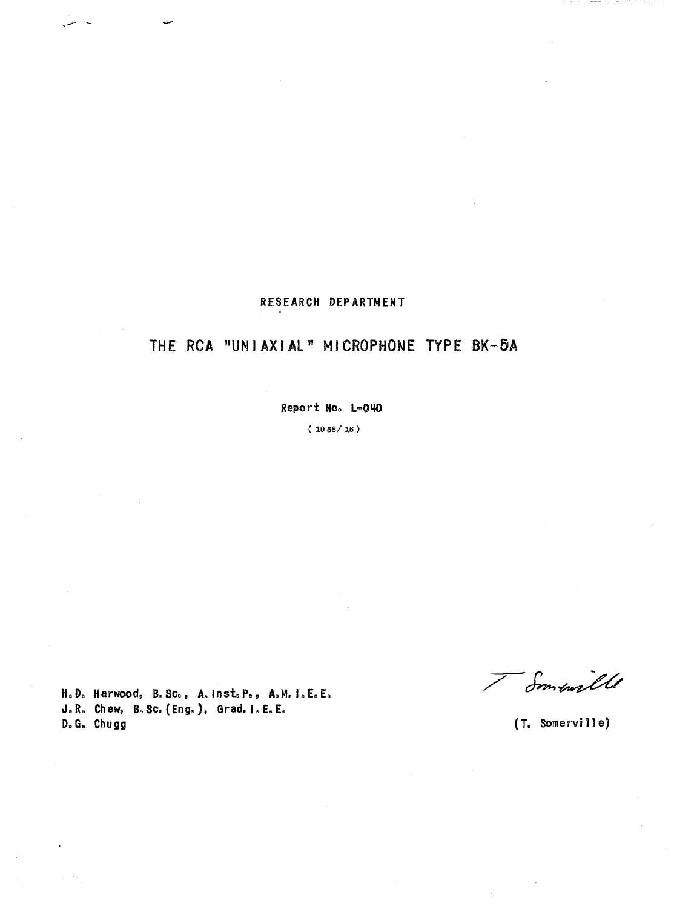#### RESEARCH DEPARTMENT

## **THE ReA** "UNIAXIAL" MICROPHONE TYPE BK-5A

Report No. L=040

( 1958/16)

H.Do Harwood, B.Seo, A.lnst,P., A.M.I.E.E. J.R. Chew, B.Sc. (Eng.), Grad. I.E.E.<br>D.G. Chugg

I Smaille

D. G. **Chugg** (T. Somervi 11 e)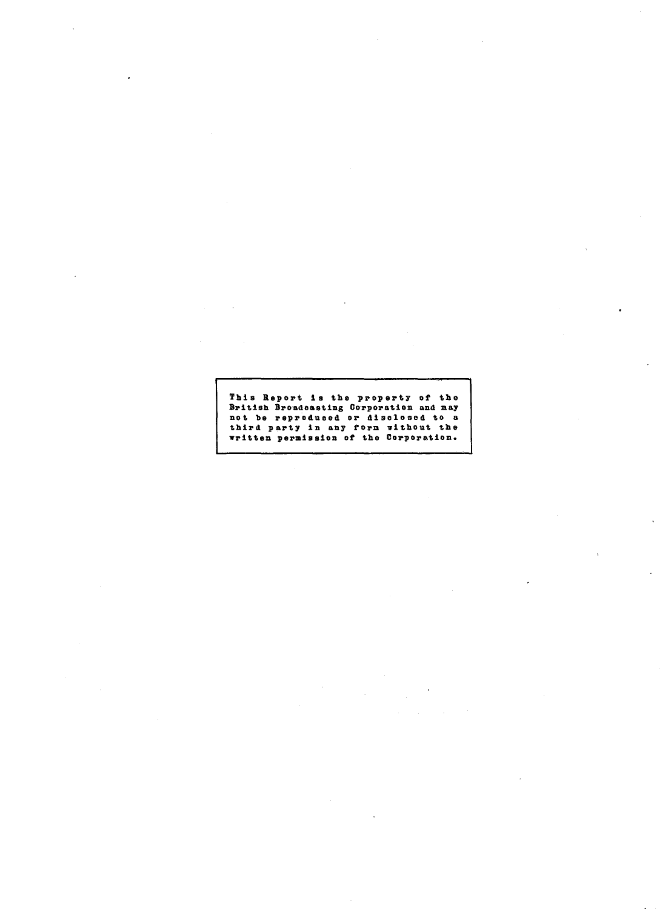# This Report is the property of the British Broadcasting Corporation and may<br>not be reproduced or disclosed to a<br>third party in any form without the<br>written permission of the Corporation.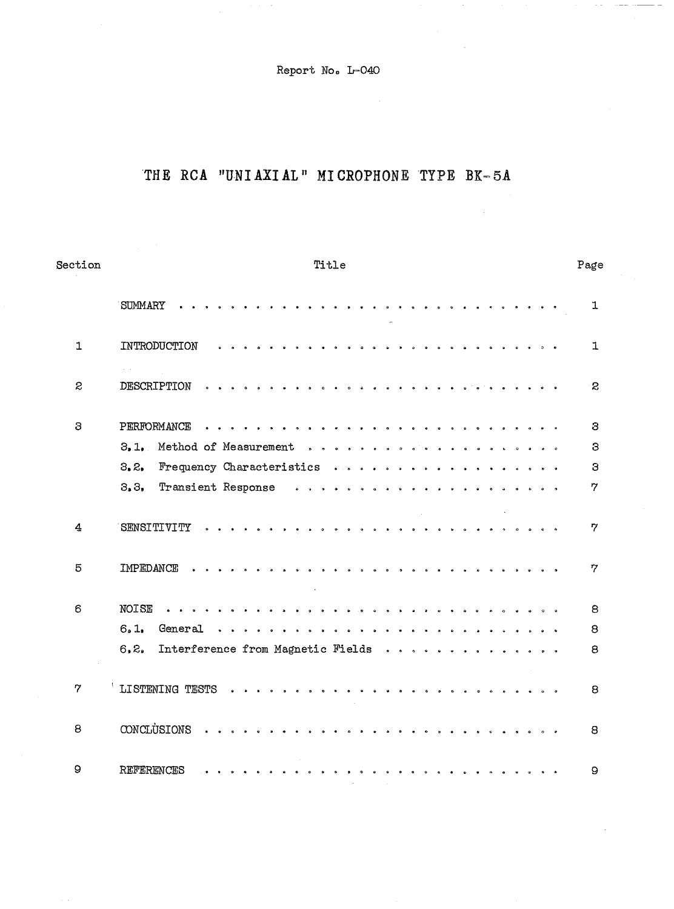Report No. lr-040

## THE RCA "UNIAXIAL" MICROPHONE TYPE BK-5A

| Section      | Title                                      | Page         |
|--------------|--------------------------------------------|--------------|
|              | <b>SUMMARY</b><br>.                        | $\mathbf{1}$ |
| $\mathbf{1}$ | INTRODUCTION                               | $\mathbf{1}$ |
| S            | DESCRIPTION                                | $\mathbf{z}$ |
| 3            |                                            | 3            |
|              | 3.1.                                       | 3            |
|              | 3, 2,<br>Frequency Characteristics         | 3            |
|              | 3, 3,                                      | 7            |
| 4            | $\sim$                                     | 7            |
| 5            | IMPEDANCE                                  | 7            |
| 6            | <b>NOISE</b>                               | 8            |
|              | 6.1.<br>General                            | 8            |
|              | Interference from Magnetic Fields<br>6, 2. | 8            |
| 7            | LISTENING TESTS                            | 8            |
| 8            | CONCLUSIONS                                | 8            |
| $\Omega$     | REFERENCES                                 | 9            |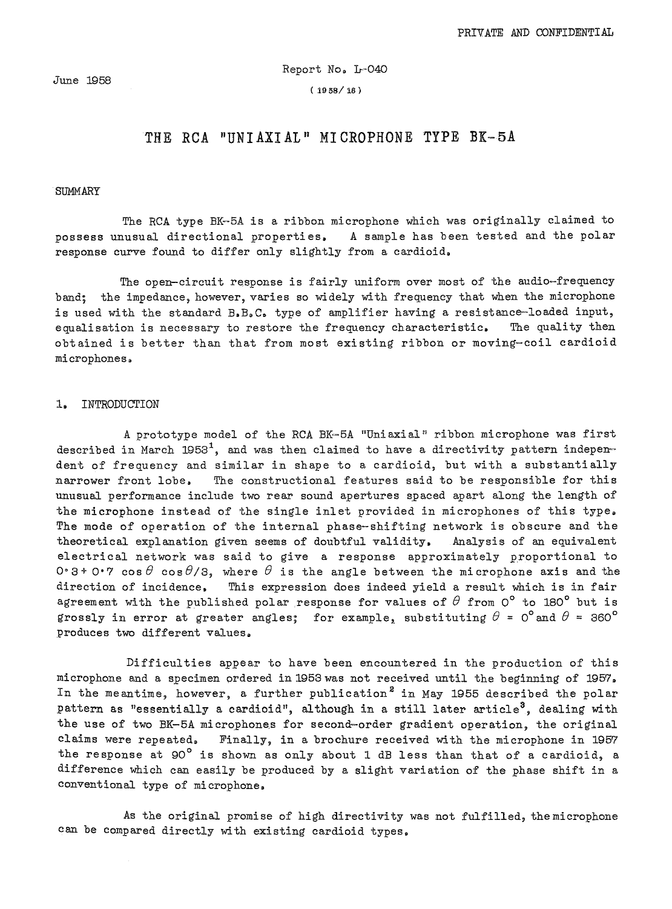#### Report No. L-040

 $(1958/16)$ 

#### **THE RCA "UNIAXIAL" MICROPHONE TYPE BI-5A**

#### **SUMMARY**

The RCA type BK-5A is a ribbon microphone which was originally claimed to possess unusual directional properties. A sample has been tested and the polar response curve found to differ only slightly from a cardioid.

The open-circuit response is fairly uniform over most of the audio~frequency band; the impedance, however, varies so widely with frequency that when the microphone is used with the standard B.B.C. type of amplifier having a resistance-loaded input, equalisation is necessary to restore the frequency characteristic. The quality then obtained is better than that from most existing ribbon or moving-coil cardioid microphones.

#### 1. INTRODUCTION

A prototype model of the RCA BK-5A "Uni axi al" ribbon microphone was first described in March 1953<sup>1</sup>, and was then claimed to have a directivity pattern indeperdent of frequency and similar in shape to a cardioid, but with a substantially narrower front lobe. The constructional features said to be responsible for this unusual performance include two rear sound apertures spaced apart along the length of the microphone instead of the single inlet provided in microphones of this type. The mode of operation of the internal phase-shifting network is obscure and the theoretical explanation given seems of doubtful validity. Analysis of an equivalent electrical network was said to give a response approximately proportional to  $0.3+0.7$  cos  $\theta$  cos  $\theta/3$ , where  $\theta$  is the angle between the microphone axis and the direction of incidence. This expression does indeed yield a result which is in fair agreement with the published polar response for values of  $\theta$  from 0° to 180° but is grossly in error at greater angles; for example, substituting  $\theta = 0^{\circ}$  and  $\theta = 360^{\circ}$ produces two different values.

Difficulties appear to have been encountered in the production of this microphone and a specimen ordered in 1953 was not received until the beginning of 1957. In the meantime, however, a further publication<sup>2</sup> in May 1955 described the polar pattern as "essentially a cardioid", although in a still later article<sup>3</sup>, dealing with the use of two BK-5A microphones for second-order gradient operation, the original claims were repeated. Finally, in a brochure received with the microphone in 1957 the response at 90° is shown as only about 1 dB less than that of a cardioid, a difference which can easily be produced by a slight variation of the phase shift in a conventional type of microphone.

As the original promise of high directivity was not fulfilled, the microphone can be compared directly with existing cardioid types.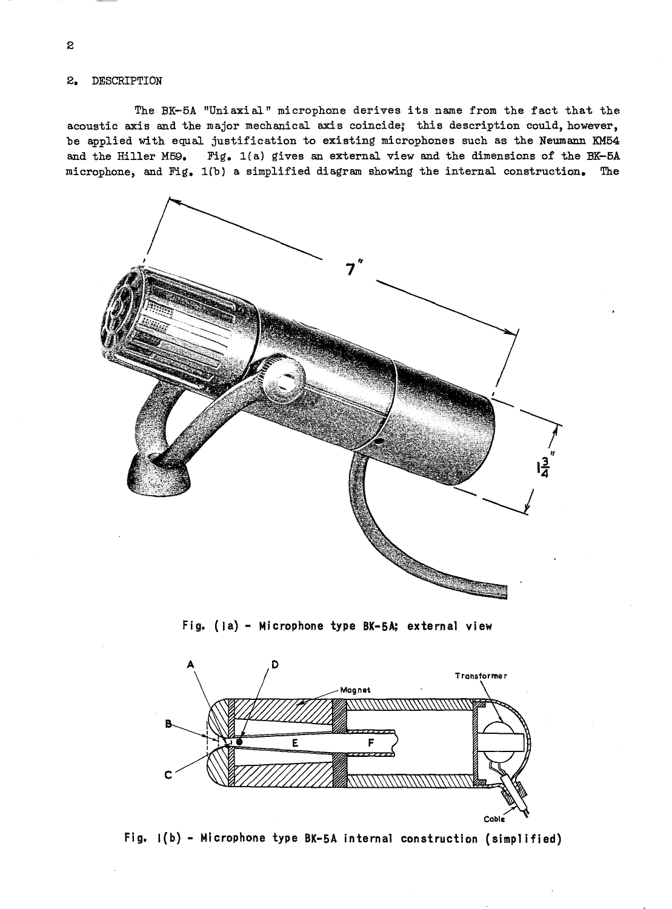**2.** DESCRIPTION

The BK-5A "Uniaxial" microphone derives its name from the fact that the acoustic axis and the major mechanical axis coincide; this description could, however, be applied with equal justification to existing microphones such as the Neumann KM54 and the Hiller M59. Fig. 1(a) gives an external view and the dimensions of the BK-5A microphone, and Fig. l(b) a simplified diagram showing the internal construction. The



**Fig. (\a) - Microphone type BK-5A; external view** 



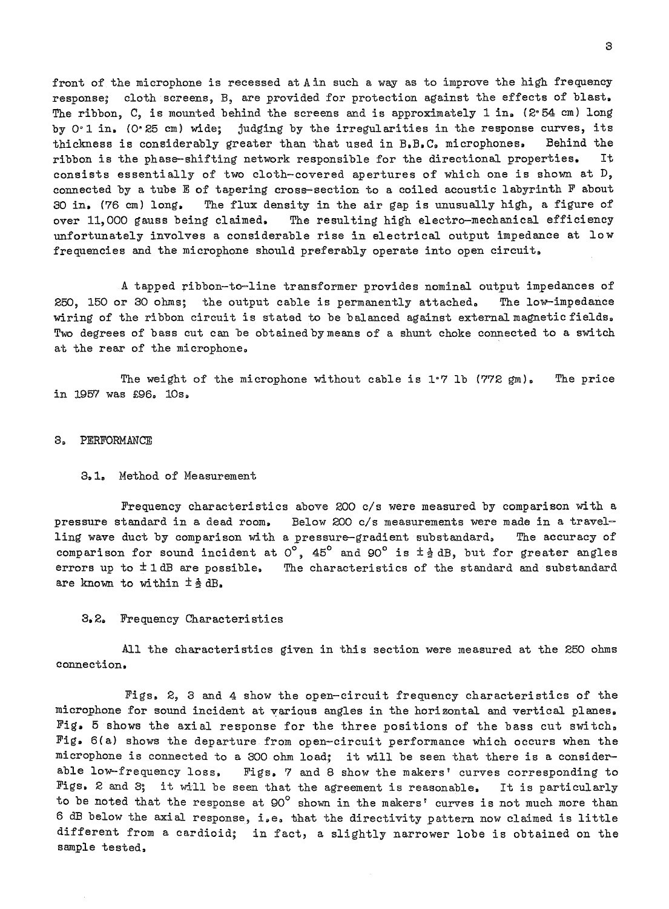front of the microphone is recessed at A in such a way as to improve the high frequency response; cloth screens, B, are provided for protection against the effects of blast. The ribbon, C, is mounted behind the screens and is approximately 1 in. (2°54 cm) long by 0'1 in. (0'25 cm) wide; judging by the irregularities in the response curves, its thickness is considerably greater than that used in B.B.C. microphones. Behind the ribbon is the phase-shifting network responsible for the directional properties. It consists essentially of two cloth-covered apertures of which one is shown at D, connected by a tube E of tapering crose-section to a coiled acoustic labyrinth F about 30 **in.** (76 cm) long. The flux density in the air gap is unusually high, a figure of over 11,000 gauss being claimed. The resulting high electro-mechanical efficiency unfortunately involves a considerable rise in electrical output impedance at low frequencies and the microphone should preferably operate into open circuit.

A tapped ribbon-to-line transformer provides nominal output impedances of 250, 150 or 30 ohms; the output cable is permanently attached. The lo~impedance wiring of the ribbon circuit is stated to be balanced against external magnetic fields. Two degrees of bass cut can be obtained by means of a shunt choke connected to a switch at the rear of the microphone.

The weight of the microphone without cable is  $1^{\circ}$  7 lb (772 gm). in 1957 was £96. 10s. The price

#### 3. PERFORMANCE

#### 3.1. Method of Measurement

Frequency characteristics above 200 *cls* were measured by comparison with a pressure standard in a dead room. Below 200 *cls* measurements were made in a travelling wave duct by comparison with a pressure-gradient substandard. The accuracy of comparison for sound incident at  $0^{\circ}$ , 45° and 90° is  $\pm \frac{1}{2}$  dB, but for greater angles errors up to  $\pm$  1 dB are possible. The characteristics of the standard and substandard are known to within  $\pm \frac{1}{2}$  dB.

#### 3.2. Frequency Characteristics

All the characteristics given in this section were measured at the 250 ohms connection.

Figs. 2, 3 and 4 show the open-circuit frequency characteristics of the microphone for sound incident at various angles in the horizontal and vertical planes. Fig. 5 shows the axial response for the three positions of the bass cut switch. Fig. 6(a) shows the departure from open-circuit performance which occurs when the microphone is connected to a 300 ohm load; it will be seen that there is a consider-<br>able low-frequency loss, Figs, 7 and 8 show the makers' curves corresponding to Figs. 7 and 8 show the makers' curves corresponding to Figs. 2 and 3; it will be seen that the agreement is reasonable. It is particularly to be noted that the response at 90° shown in the makers' curves is not much more than 6 dB below the axial response, i.e. that the directivity pattern now claimed is little different from a cardioid; in fact, a slightly narrower lobe is obtained on the sample tested.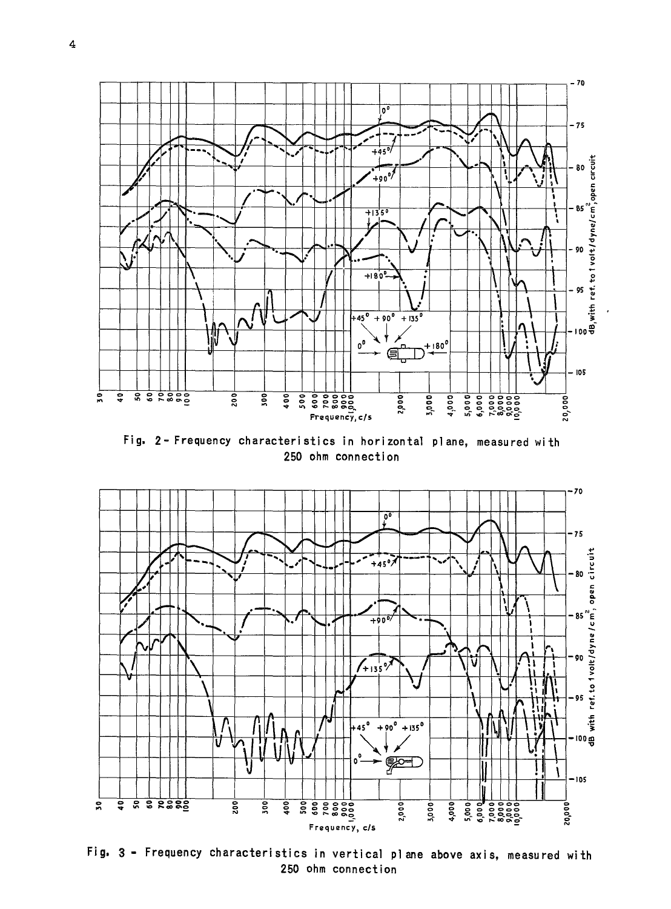

Fig. 2- Frequency characteristics in horizontal plane, measured with 250 ohm connection



Fig. 3 - Frequency characteristics in vertical plane above axis, measured with 250 ohm connection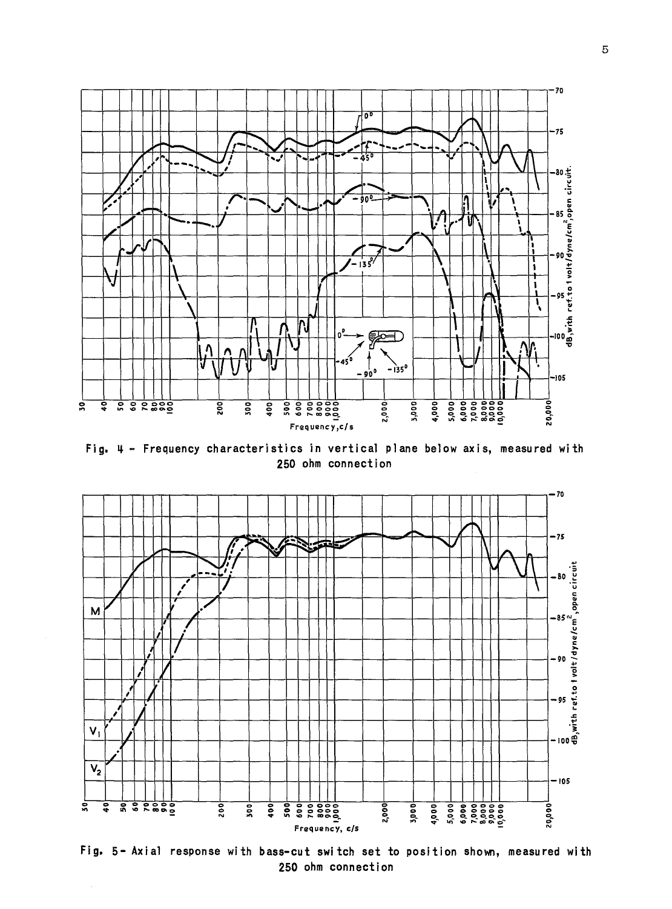

Fig. 4 - Frequency characteristics in vertical plane below axis, measured with 250 ohm connection



Fig. 5- Axial response with bass-cut switch set to position shown, measured with 250 ohm connection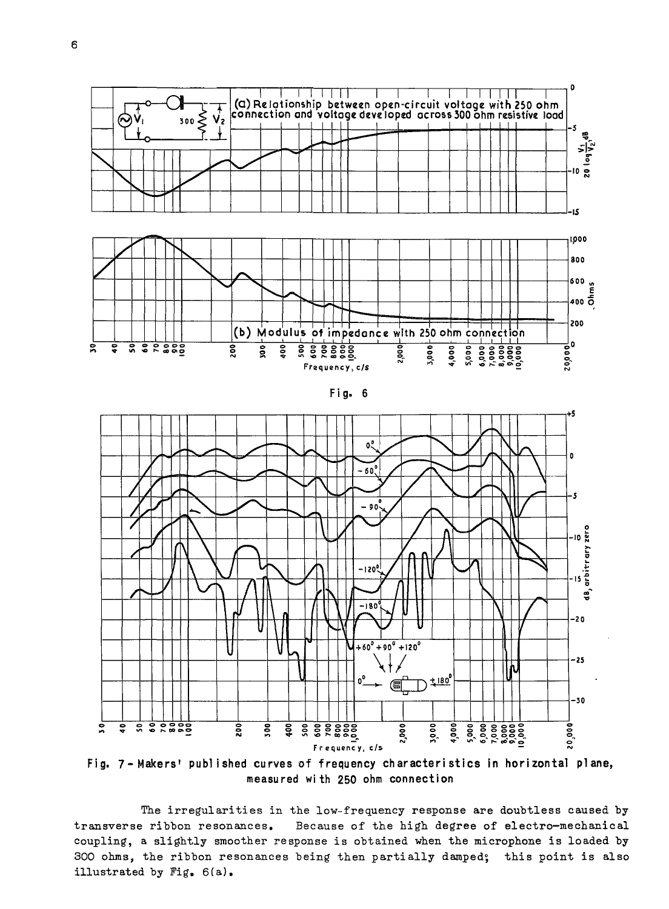





Fig. 7-Makers' published curves of frequency characteristics in horizontal plane, measured with 250 ohm connection

The irregularities in the low-frequency response are doubtless caused by transverse ribbon resonances. Because of the high degree of electro-mechanical coupling, a slightly smoother response is obtained when the microphone is loaded by 300 ohms, the ribbon resonances being then partially damped; this point is also illustrated by Fig. 6(a).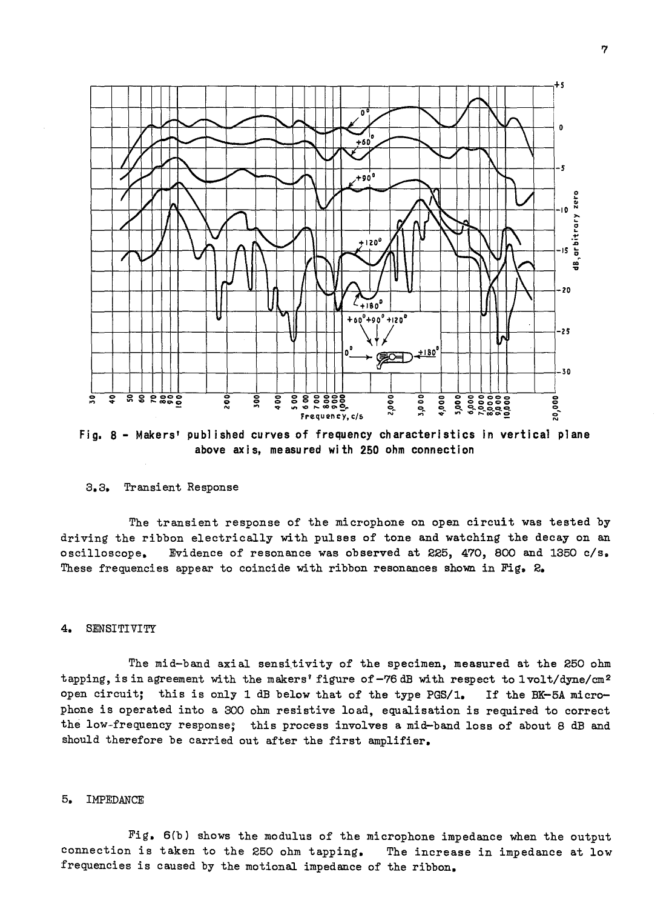

Fig. 8 - Makers' published curves of frequency characteristics in vertical plane above axis, measured with 250 ohm connection

#### 3.3. Transient Response

The transient response of the microphone on open circuit was tested by driving the ribbon electrically with pulses of tone and watching the decay on an oscilloscope, Evidence of resonance was observed at 225, 470, 800 and 1350 c/s. These frequencies appear to coincide with ribbon resonances shown in Fig. 2.

#### 4. SENSITIVITY

The mid-band axial sensitivity of the specimen, measured at the 250 ohm tapping, is in agreement with the makers' figure of-76 dB with respect to 1volt/dyne/cm<sup>2</sup> open circuit; this is only 1 dB below that of the type PGS/1. If the BK-5A microphone is operated into a 300 ohm resistive load, equalisation is required to correct the low-frequency response; this process involves a mid-band loss of about 8 dB and should therefore be carried out after the first amplifier.

#### 5. IMPEDANCE

Fig. 6(b) shows the modulus of the microphone impedance when the output connection is taken to the 250 ohm tapping. The increase in impedance at low frequencies is caused by the motional impedance of the ribbon.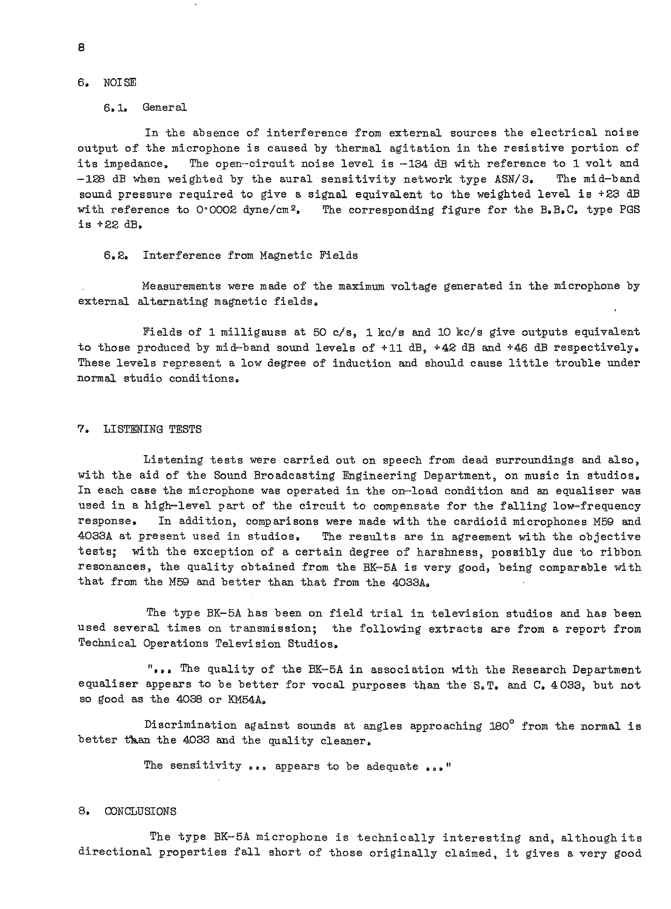#### 6. NOISE

#### 6.1. General

In the absence of interference from external sources the electrical noise output of the microphone is caused by thermal agitation in the resistive portion of its impedance. The open-circuit noise level is -134 dB with reference to 1 volt and -128 dB when weighted by the aural sensitivity network type ASN/3. The mid-band sound pressure required to give a signal equivalent to the weighted level is  $+23$  dB with reference to 0°0002 dyne/cm<sup>2</sup>. The corresponding figure for the B.B.C. type PGS is +22 dB.

#### 6.2. Interference from Magnetic Fields

Measurements were made of the maximum voltage generated in the microphone by external alternating magnetic fields.

Fields of 1 milligauss at 50 c/s, 1 kc/s and 10 kc/s give outputs equivalent to those produced by mid-band sound levels of +11 dB, +42 dB and +46 dB respectively. These levels represent a low degree of induction and should cause little trouble under normal studio conditions.

#### 7. LISTENING TESTS

Listening tests were carried out on speech from dead surroundings and also, with the aid of the Sound Broadcasting Engineering Department, on music in studios. In each case the microphone was operated in the on-load condition and an equaliser was used in a high-level part of the circuit to compensate for the falling low-frequency response. In addition, comparisons were made with the cardioid microphones M59 and 4033A at present used in studios. The results are in agreement with the objective tests; with the exception of a certain degree of harshness, possibly due to ribbon resonances, the quality obtained from the BK-5A is very good, being comparable with that from the M59 and better than that from the 4033A.

The type BK-5A has been on field trial in television studios and has been used several times on transmission; the following extracts are from a report from Technical Operations Television Studios.

**" •••** The quality of the BK-5A in association with the Research Department equaliser appears to be better for vocal purposes than the S.T. and C. 4033, but not so good as the 4038 or KM54A.

Discrimination against sounds at angles approaching  $180^\circ$  from the normal is better than the 4033 and the quality cleaner.

The sensitivity  $\ldots$  appears to be adequate  $\ldots$ 

#### 8. CONCLUSIONS

The type BK-5A microphone is technically interesting and, although its directional properties fall short of those originally claimed, it gives a very good

8